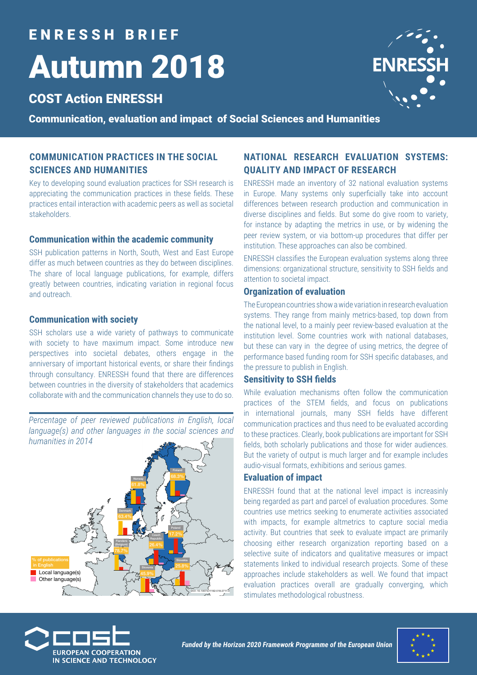# E N R E S S H B R I E F Autumn 2018

# COST Action ENRESSH

Communication, evaluation and impact of Social Sciences and Humanities

### **COMMUNICATION PRACTICES IN THE SOCIAL SCIENCES AND HUMANITIES**

Key to developing sound evaluation practices for SSH research is appreciating the communication practices in these fields. These practices entail interaction with academic peers as well as societal stakeholders.

#### **Communication within the academic community**

SSH publication patterns in North, South, West and East Europe differ as much between countries as they do between disciplines. The share of local language publications, for example, differs greatly between countries, indicating variation in regional focus and outreach.

#### **Communication with society**

SSH scholars use a wide variety of pathways to communicate with society to have maximum impact. Some introduce new perspectives into societal debates, others engage in the anniversary of important historical events, or share their findings through consultancy. ENRESSH found that there are differences between countries in the diversity of stakeholders that academics collaborate with and the communication channels they use to do so.

*Percentage of peer reviewed publications in English, local language(s) and other languages in the social sciences and humanities in 2014*



### **NATIONAL RESEARCH EVALUATION SYSTEMS: QUALITY AND IMPACT OF RESEARCH**

ENRESSH made an inventory of 32 national evaluation systems in Europe. Many systems only superficially take into account differences between research production and communication in diverse disciplines and fields. But some do give room to variety, for instance by adapting the metrics in use, or by widening the peer review system, or via bottom-up procedures that differ per institution. These approaches can also be combined.

ENRESSH classifies the European evaluation systems along three dimensions: organizational structure, sensitivity to SSH fields and attention to societal impact.

#### **Organization of evaluation**

The European countries show a wide variation in research evaluation systems. They range from mainly metrics-based, top down from the national level, to a mainly peer review-based evaluation at the institution level. Some countries work with national databases, but these can vary in the degree of using metrics, the degree of performance based funding room for SSH specific databases, and the pressure to publish in English.

#### **Sensitivity to SSH fields**

While evaluation mechanisms often follow the communication practices of the STEM fields, and focus on publications in international journals, many SSH fields have different communication practices and thus need to be evaluated according to these practices. Clearly, book publications are important for SSH fields, both scholarly publications and those for wider audiences. But the variety of output is much larger and for example includes audio-visual formats, exhibitions and serious games.

#### **Evaluation of impact**

ENRESSH found that at the national level impact is increasinly being regarded as part and parcel of evaluation procedures. Some countries use metrics seeking to enumerate activities associated with impacts, for example altmetrics to capture social media activity. But countries that seek to evaluate impact are primarily choosing either research organization reporting based on a selective suite of indicators and qualitative measures or impact statements linked to individual research projects. Some of these approaches include stakeholders as well. We found that impact evaluation practices overall are gradually converging, which stimulates methodological robustness.